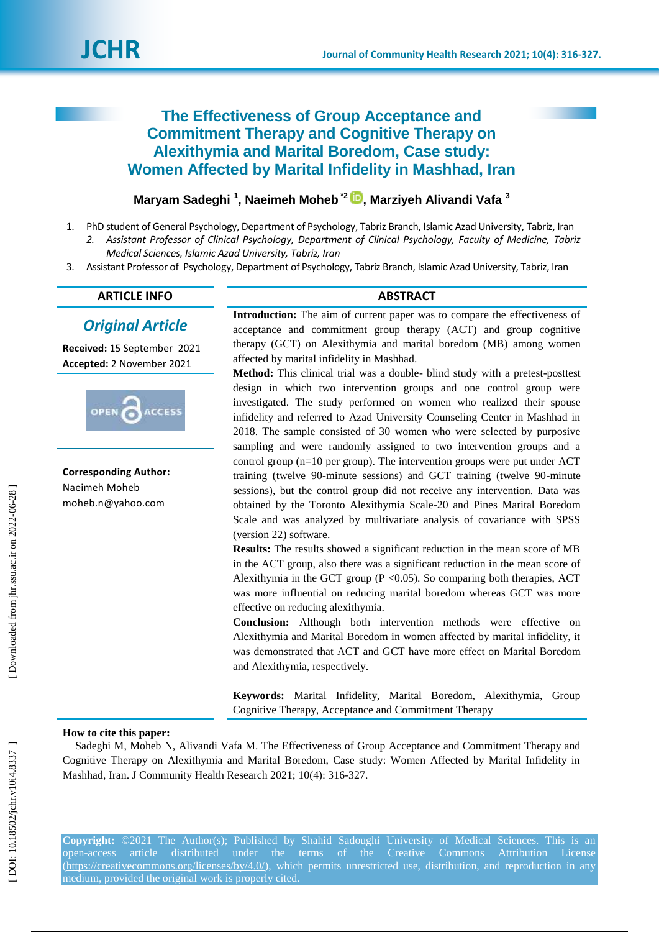# **The Effectiveness of Group Acceptance and Commitment Therapy and Cognitive Therapy on Alexithymia and Marital Boredom, Case study: Women Affected by Marital Infidelity in Mashhad, Iran**

# **Maryam Sadeghi <sup>1</sup>, Naeimeh Moheb <sup>\*2</sup> D, Marziyeh Alivandi Vafa <sup>3</sup>**

- 1 . PhD student of General Psychology, Department of Psychology, Tabriz Branch, Islamic Azad University, Tabriz, Iran *2. Assistant Professor of Clinical Psychology, Department of Clinical Psychology, Faculty of Medicine, Tabriz Medical Sciences, Islamic Azad University, Tabriz, Iran*
- 3 . Assistant Professor of Psychology, Department of Psychology, Tabriz Branch, Islamic Azad University, Tabriz, Iran

# **ARTICLE INFO ABSTRACT**

# *Original Article*

**Received:** 15 September 2021 **Accepted:** 2 November 2021



**Corresponding Author:** Naeimeh Moheb moheb.n@yahoo.com

**Introduction:** The aim of current paper was to compare the effectiveness of acceptance and commitment group therapy (ACT) and group cognitive therapy (GCT) on Alexithymia and marital boredom (MB) among women affected by marital infidelity in Mashhad.

Method: This clinical trial was a double- blind study with a pretest-posttest design in which two intervention groups and one control group were investigated. The study performed on women who realized their spouse infidelity and referred to Azad University Counseling Center in Mashhad in 2018. The sample consisted of 30 women who were selected by purposive sampling and were randomly assigned to two intervention groups and a control group (n=10 per group). The intervention groups were put under ACT training (twelve 90 -minute sessions) and GCT training (twelve 90 -minute sessions), but the control group did not receive any intervention. Data was obtained by the Toronto Alexithymia Scale -20 and Pines Marital Boredom Scale and was analyzed by multivariate analysis of covariance with SPSS (version 22) software.

**Results:** The results showed a significant reduction in the mean score of MB in the ACT group, also there was a significant reduction in the mean score of Alexithymia in the GCT group ( $P \le 0.05$ ). So comparing both therapies, ACT was more influential on reducing marital boredom whereas GCT was more effective on reducing alexithymia.

**Conclusion:** Although both intervention methods were effective on Alexithymia and Marital Boredom in women affected by marital infidelity, it was demonstrated that ACT and GCT have more effect on Marital Boredom and Alexithymia, respectively.

**Keywords:** Marital Infidelity, Marital Boredom, Alexithymia, Group Cognitive Therapy, Acceptance and Commitment Therapy

#### **How to cite this paper:**

Sadeghi M, Moheb N, Alivandi Vafa M. The Effectiveness of Group Acceptance and Commitment Therapy and Cognitive Therapy on Alexithymia and Marital Boredom, Case study: Women Affected by Marital Infidelity in Mashhad, Iran. J Community Health Research 2021; 10(4): 316-327.

**Copyright:** ©2021 The Author(s); Published by Shahid Sadoughi University of Medical Sciences. This is an open-access [\(https://creativecommons.org/licenses/by/4.0/\)](https://creativecommons.org/licenses/by/4.0/), which permits unrestricted use, distribution, and reproduction in any medium, provided the original work is properly cited.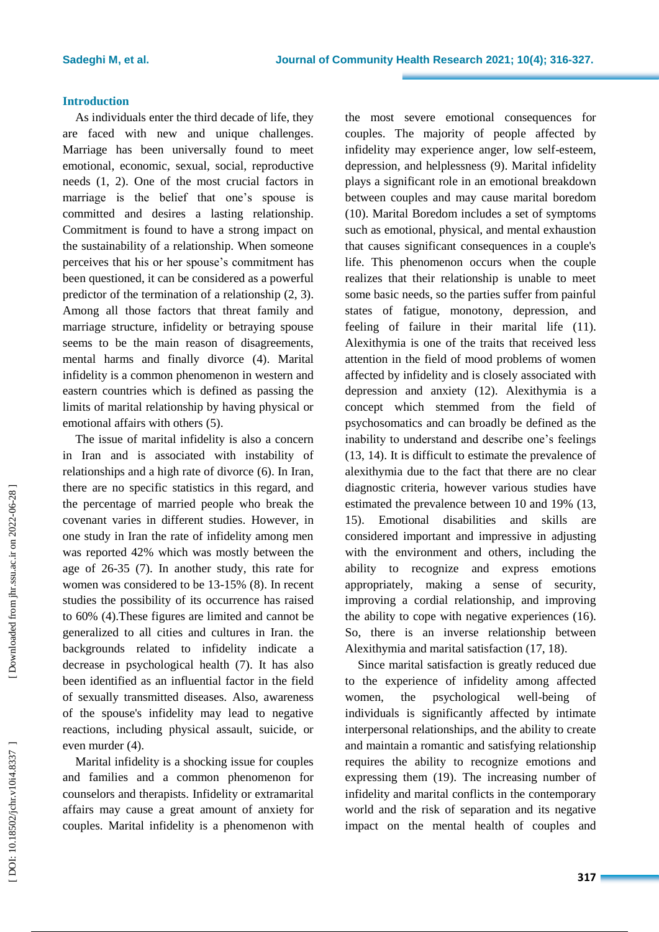### **Introduction**

As individuals enter the third decade of life, they are faced with new and unique challenges. Marriage has been universally found to meet emotional, economic, sexual, social, reproductive needs (1, 2). One of the most crucial factors in marriage is the belief that one's spouse is committed and desires a lasting relationship. Commitment is found to have a strong impact on the sustainability of a relationship. When someone perceives that his or her spouse's commitment has been questioned, it can be considered as a powerful predictor of the termination of a relationship (2, 3). Among all those factors that threat family and marriage structure, infidelity or betraying spouse seems to be the main reason of disagreements, mental harms and finally divorce (4). Marital infidelity is a common phenomenon in western and eastern countries which is defined as passing the limits of marital relationship by having physical or emotional affairs with others (5) .

The issue of marital infidelity is also a concern in Iran and is associated with instability of relationships and a high rate of divorce (6) . In Iran, there are no specific statistics in this regard, and the percentage of married people who break the covenant varies in different studies. However, in one study in Iran the rate of infidelity among men was reported 42% which was mostly between the age of 26 -35 (7). In another study , this rate for women was considered to be 13 -15% (8) . In recent studies the possibility of its occurrence has raised to 60% (4) .These figures are limited and canno t be generalized to all cities and cultures in Iran. the backgrounds related to infidelity indicate a decrease in psychological health (7) . It has also been identified as an influential factor in the field of sexually transmitted diseases. Also, awareness of the spouse's infidelity may lead to negative reactions, including physical assault, suicide, or even murder (4) .

Marital infidelity is a shocking issue for couples and families and a common phenomenon for counselors and therapists. Infidelity or extramarital affairs may cause a great amount of anxiety for couples. Marital infidelity is a phenomenon with the most severe emotional consequences for couples. The majority of people affected by infidelity may experience anger, low self -esteem, depression, and helplessness (9). Marital infidelity plays a significant role in an emotional breakdown between couples and may cause marital boredom (10) . Marital Bor edom includes a set of symptoms such as emotional, physical, and mental exhaustion that causes significant consequences in a couple's life. This phenomenon occurs when the couple realizes that their relationship is unable to meet some basic needs, so the parties suffer from painful states of fatigue, monotony, depression, and feeling of failure in their marital life (11). Alexithymia is one of the traits that received less attention in the field of mood problems of women affected by infidelity and is closely associated with depression and anxiety (12). Alexithymia is a concept which stemmed from the field of psychosomatics and can broadly be defined as the inability to understand and describe one's feelings (13, 14). It is difficult to estimate the prevalence of alexithymia due to the fact that there are no clear diagnostic criteria, however various studies have estimated the prevalence between 10 and 19% (13, 15) . Emotional disabilities and skills are considered important and impressive in adjusting with the environment and others, including the ability to recognize and express emotions appropriately, making a sense of security, improving a cordial relationship, and improving the ability to cope with negative experiences (16) . So, there is an inverse relationship between Alexithymia and marital satisfaction (17, 18) .

Since marital satisfaction is greatly reduced due to the experience of infidelity among affected women, the psychological well-being of individuals is significantly affected by intimate interpersonal relationships, and the ability to create and maintain a romantic and satisfying relationship requires the ability to recognize emotions and expressing them (19) . The increasing number of infidelity and marital conflicts in the contemporary world and the risk of separation and its negative impact on the mental health of couples and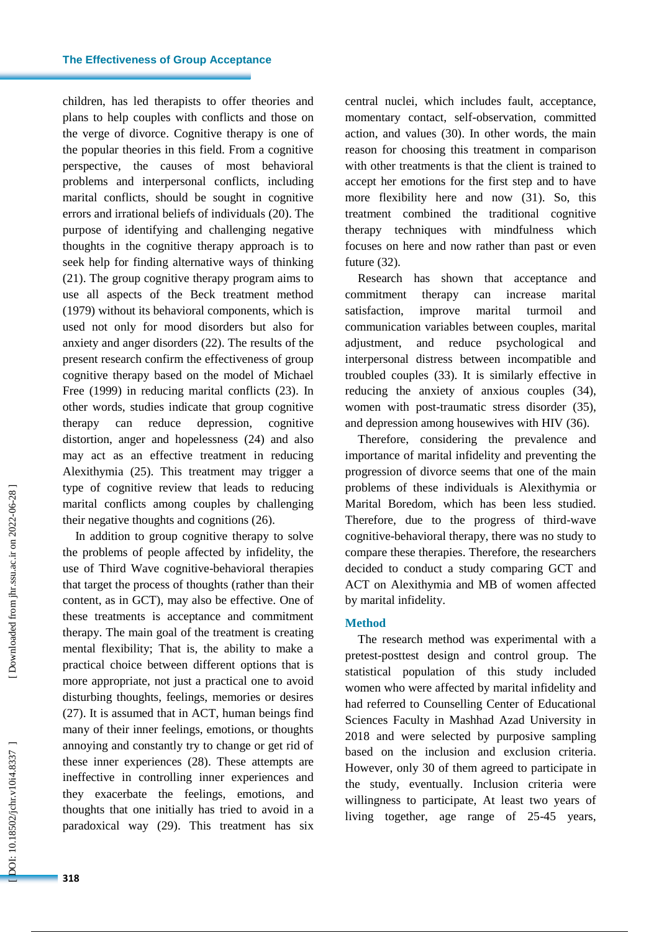children, has led therapists to offer theories and plans to help couples with conflict s and those on the verge of divorce . Cognitive therapy is one of the popular theories in this field. From a cognitive perspective, the causes of most behavioral problems and interpersonal conflicts, including marital conflicts, should be sought in cognitive errors and irrational beliefs of individuals (20) . The purpose of identifying and challenging negative thoughts in the cognitive therapy approach is to seek help for finding alternative ways of thinking (21) . The group cognitive therapy program aims to use all aspects of the Beck treatment method (1979) without its behavioral components, which is used not only for mood disorders but also for anxiety and anger disorders (22). The results of the present research confirm the effectiveness of group cognitive therapy based on the model of Michael Free (1999) in reducing marital conflicts (23) . In other words, studies indicate that group cognitive therapy can reduce depression , cognitive distortion, anger and hopelessness (24) and also may act as an effective treatment in reducing Alexithymia (25) . This treatment may trigger a type of cognitive review that lead s to reducing marital conflicts among couples by challenging their negative thoughts and cognitions (26) .

In addition to group cognitive therapy to solve the problems of people affected by infidelity, the use of Third Wave cognitive -behavioral therapies that target the process of thoughts (rather than their content, as in GCT), may also be effective. One of these treatments is acceptance and commitment therapy. The main goal of the treatment is creating mental flexibility; That is, the ability to make a practical choice between different options that is more appropriate, not just a practical one to avoid disturbing thoughts, feelings, memories or desires (27) . It is assumed that in ACT, human beings find many of their inner feelings, emotions, or thoughts annoying and constantly try to change or get rid of these inner experiences (28) . These attempts are ineffective in controlling inner experiences and they exacerbate the feelings, emotions, and thoughts that one initially has tried to avoid in a paradoxical way (29) . This treatment has six

central nuclei, which include s fault, acceptance, momentary contact, self -observation, committed action, and values (30) . In other words, the main reason for choosing this treatment in comparison with other treatments is that the client is trained to accept her emotions for the first step and to have more flexibility here and now (31) . So, this treatment combined the traditional cognitive therapy techniques with mindfulness which focuses on here and now rather than past or even future (32).

Research has shown that acceptance and commitment therapy can increase marital satisfaction, improve marital turmoil and communication variables between couples, marital adjustment, and reduce psychological and interpersonal distress between incompatible and troubled couples (33) . It is similarly effective in reducing the anxiety of anxious couples (34), women with post -traumatic stress disorder (35), and depression among housewives with HIV (36) .

Therefore, considering the prevalence and importance of marital infidelity and preventing the progression of divorce seems that one of the main problems of these individuals is Alexithymia or Marital Boredom, which has been less studied. Therefore, due to the progress of third -wave cognitive -behavioral therapy, there was no study to compare these therapies. Therefore, the researchers decided to conduct a study comparing GCT and ACT on Alexithymia and MB of women affected by marital infidelity.

#### **Method**

The research method was experimental with a pretest -posttest design and control group. The statistical population of this study included women who were affected by marital infidelity and had referred to Counselling Center of Educational Sciences Faculty in Mashhad Azad University in 201 8 and were selected by purposive sampling based on the inclusion and exclusion criteria. However, only 30 of them agreed to participate in the study, eventually. Inclusion criteria were willingness to participate, At least two years of living together, age range of 25 -45 years,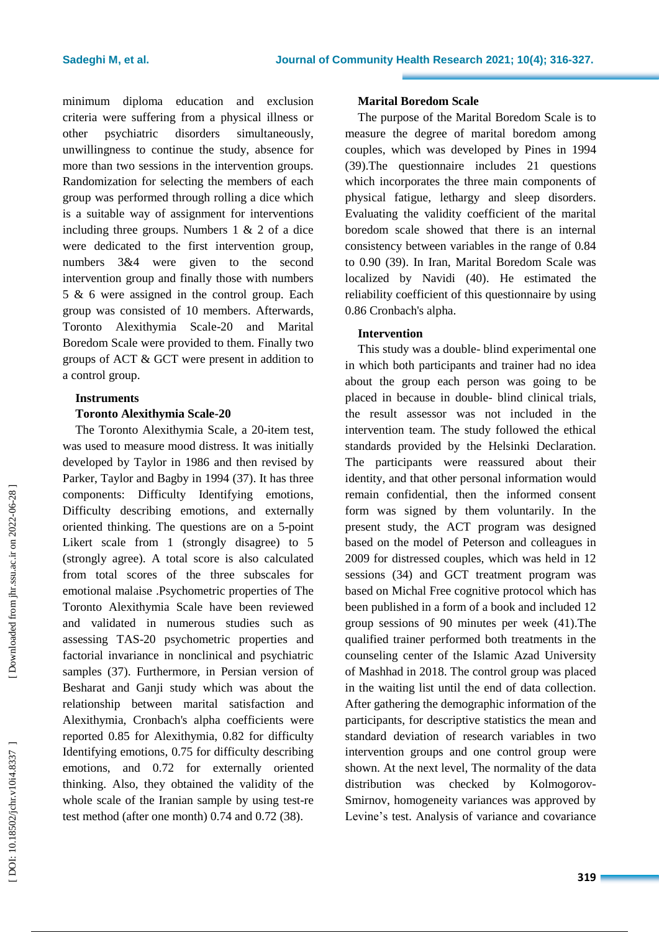minimum diploma education and exclusion criteria were suffering from a physical illness or other psychiatric disorders simultaneously, unwillingness to continue the study, absence for more than two sessions in the intervention groups. Randomization for selecting the members of each group was performed through rolling a dice which is a suitable way of assignment for interventions including three groups. Numbers 1 & 2 of a dice were dedicated to the first intervention group, numbers 3&4 were given to the second intervention group and finally those with numbers 5 & 6 were assigned in the control group. Each group was consisted of 10 members. Afterwards, Toronto Alexithymia Scale -20 and Marital Boredom Scale were provided to them. Finally two groups of ACT & GCT were present in addition to a control group.

### **Instruments**

## **Toronto Alexithymia Scale -20**

The Toronto Alexithymia Scale, a 20 -item test, was used to measure mood distress. It was initially developed by Taylor in 1986 and then revised by Parker, Taylor and Bagby in 1994 (37) . It has three components: Difficulty Identifying emotions, Difficulty describing emotions , and externally oriented thinking. The questions are on a 5 -point Likert scale from 1 (strongly disagree) to 5 (strongly agree). A total score is also calculated from total scores of the three subscales for emotional malaise .Psychometric properties of The Toronto Alexithymia Scale have been reviewed and validated in numerous studies such as assessing TAS -20 psychometric properties and factorial invariance in nonclinical and psychiatric samples (37) . Furthermore, in Persian version of Besharat and Ganji study which was about the relationship between marital satisfaction and Alexithymia, Cronbach's alpha coefficients were reported 0.85 for Alexithymia, 0.82 for difficulty Identifying emotions, 0.75 for difficulty describing emotions, and 0.72 for externally oriented thinking. Also, they obtained the validity of the whole scale of the Iranian sample by using test-re test method (after one month) 0.74 and 0.72 (38) .

#### **Marital Boredom Scale**

The purpose of the Marital Boredom Scale is to measure the degree of marital boredom among couples, which was developed by Pines in 1994 (39).The questionnaire include s 21 questions which incorporates the three main components of physical fatigue, lethargy and sleep disorders. Evaluating the validity coefficient of the marital boredom scale showed that there is an internal consistency between variables in the range of 0.84 to 0.90 (39) . In Iran, Marital Boredom Scale was localized by Navidi (40). He estimated the reliability coefficient of this questionnaire by using 0.86 Cronbach's alpha.

## **Intervention**

This study was a double - blind experimental one in which both participants and trainer had no idea about the group each person was going to be placed in because in double - blind clinical trials, the result assessor was not included in the intervention team. The study followed the ethical standards provided by the Helsinki Declaration. The participants were reassured about their identity, and that other personal information would remain confidential, then the informed consent form was signed by them voluntarily. In the present study, the ACT program was designed based on the model of Peterson and colleagues in 2009 for distressed couples, which was held in 12 sessions (34) and GCT treatment program was based on Michal Free cognitive protoc o l which has been published in a form of a book and included 12 group sessions of 90 minutes per week (41).The qualified trainer performed both treatments in the counseling center of the Islamic Azad University of Mashhad in 201 8. The control group was placed in the waiting list until the end of data collection. After gathering the demographic information of the participants, for descriptive statistics the mean and standard deviation of research variables in two intervention groups and one control group were shown. At the next level, The normality of the data distribution was checked by Kolmogorov - Smirnov, homogeneity variances was approved by Levine's test. Analysis of variance and covariance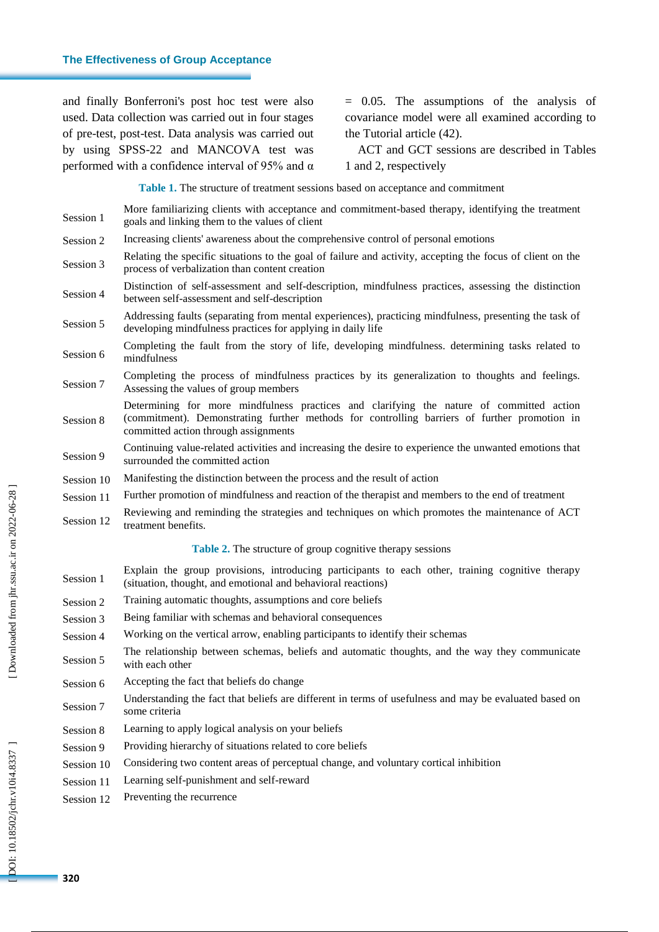#### **The Effectiveness of Group Acceptance**

and finally Bonferroni's post hoc test were also used. Data collection was carried out in four stages of pre -test, post -test. Data analysis was carried out by using SPSS -22 and MANCOVA test was performed with a confidence interval of 95% and  $\alpha$ 

= 0.05. The assumptions of the analysis of covariance model were all examined according to the Tutorial article (42) .

ACT and GCT sessions are described in Tables 1 and 2, respectively

**Table 1 .** The structure of treatment sessions based on acceptance and commitment

- Session 1 More familiarizing clients with acceptance and commitment -based therapy, identifying the treatment goals and linking them to the values of client Session 2 Increasing clients' awareness about the comprehensive control of personal emotions Session 3 Relating the specific situations to the goal of failure and activity, accepting the focus of client on the process of verbalization than content creation Session 4 Distinction of self-assessment and self-description, mindfulness practices, assessing the distinction between self-assessment and self -description Session 5 Addressing faults (separating from mental experiences), practicing mindfulness, presenting the task of developing mindfulness practices for applying in daily life Session 6 Completing the fault from the story of life, developing mindfulness. determining tasks related to mindfulness Session 7 Completing the process of mindfulness practices by its generalization to thoughts and feelings. Assessing the values of group members Session 8 Determining for more mindfulness practices and clarifying the nature of committed action (commitment). Demonstrating further methods for controlling barriers of further promotion in committed action through assignments Session 9 Continuing value -related activities and increasing the desire to experience the unwanted emotions that surrounded the committed action Session 10 Manifesting the distinction between the process and the result of action Session 11 Further promotion of mindfulness and reaction of the therapist and members to the end of treatment Session 12 Reviewing and reminding the strategies and techniques on which promotes the maintenance of ACT treatment benefits. **Table 2 .** The structure of group cognitive therapy sessions Session 1 Explain the group provisions, introducing participants to each other, training cognitive therapy (situation, thought, and emotional and behavioral reactions) Session 2 Training automatic thoughts, assumptions and core beliefs Session 3 Being familiar with schemas and behavioral consequences Session 4 Working on the vertical arrow, enabling participants to identify their schemas Session 5 The relationship between schemas, beliefs and automatic thoughts, and the way they communicate with each other Session 6 Accepting the fact that beliefs do change Session 7 Understanding the fact that beliefs are different in terms of usefulness and may be evaluated based on some criteria Session 8 Learning to apply logical analysis on your beliefs Session 9 Providing hierarchy of situations related to core beliefs Session 10 Considering two content areas of perceptual change, and voluntary cortical inhibition
	- Session 11 Learning self-punishment and self -reward
	- Session 12 Preventing the recurrence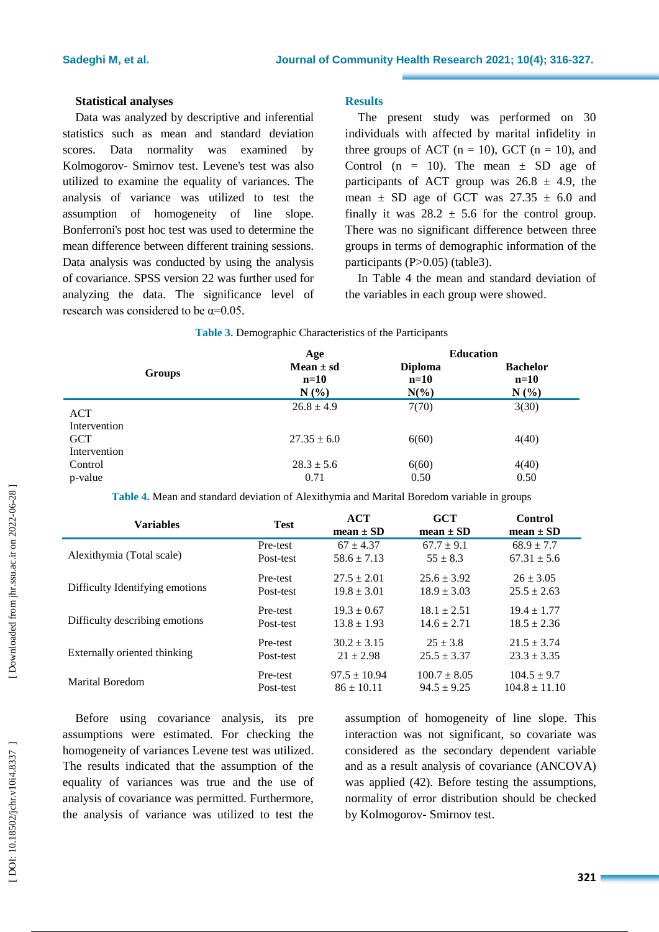#### **Statistical analyses**

Data was analyzed by descriptive and inferential statistics such as mean and standard deviation scores. Data normality was examined by Kolmogorov - Smirnov test. Levene's test was also utilized to examine the equality of variances. The analysis of variance was utilized to test the assumption of homogeneity of line slope. Bonferroni's post hoc test was used to determine the mean difference between different training sessions. Data analysis was conducted by using the analysis of covariance. SPSS version 22 was further used for analyzing the data. Th e significance level of research was considered to be  $\alpha$ =0.05.

### **Results**

The present study was performed on 30 individuals with affected by marital infidelity in three groups of ACT  $(n = 10)$ , GCT  $(n = 10)$ , and Control ( $n = 10$ ). The mean  $\pm$  SD age of participants of ACT group was  $26.8 \pm 4.9$ , the mean  $\pm$  SD age of GCT was 27.35  $\pm$  6.0 and finally it was  $28.2 \pm 5.6$  for the control group. There was no significant difference between three groups in terms of demographic information of the participants (P>0.05) (table3).

In Table 4 the mean and standard deviation of the variables in each group were showed .

|                            |               | Age                             |                                     | <b>Education</b>                  |
|----------------------------|---------------|---------------------------------|-------------------------------------|-----------------------------------|
|                            | <b>Groups</b> | Mean $\pm$ sd<br>$n=10$<br>N(%) | <b>Diploma</b><br>$n=10$<br>$N(\%)$ | <b>Bachelor</b><br>$n=10$<br>N(%) |
| ACT<br>Intervention        |               | $26.8 \pm 4.9$                  | 7(70)                               | 3(30)                             |
| <b>GCT</b><br>Intervention |               | $27.35 \pm 6.0$                 | 6(60)                               | 4(40)                             |
| Control                    |               | $28.3 \pm 5.6$                  | 6(60)                               | 4(40)                             |
| p-value                    |               | 0.71                            | 0.50                                | 0.50                              |

#### **Table 3 .** Demographic Characteristics of the Participants

**Table 4 .** Mean and standard deviation of Alexithymia and Marital Boredom variable in groups

| <b>Variables</b>                | <b>Test</b> | <b>ACT</b><br>mean $\pm$ SD | <b>GCT</b><br>$mean \pm SD$ | Control<br>$mean \pm SD$ |
|---------------------------------|-------------|-----------------------------|-----------------------------|--------------------------|
| Alexithymia (Total scale)       | Pre-test    | $67 + 4.37$                 | $67.7 \pm 9.1$              | $68.9 \pm 7.7$           |
|                                 | Post-test   | $58.6 \pm 7.13$             | $55 \pm 8.3$                | $67.31 \pm 5.6$          |
| Difficulty Identifying emotions | Pre-test    | $27.5 \pm 2.01$             | $25.6 \pm 3.92$             | $26 \pm 3.05$            |
|                                 | Post-test   | $19.8 \pm 3.01$             | $18.9 \pm 3.03$             | $25.5 \pm 2.63$          |
| Difficulty describing emotions  | Pre-test    | $19.3 \pm 0.67$             | $18.1 + 2.51$               | $19.4 \pm 1.77$          |
|                                 | Post-test   | $13.8 \pm 1.93$             | $14.6 \pm 2.71$             | $18.5 \pm 2.36$          |
| Externally oriented thinking    | Pre-test    | $30.2 \pm 3.15$             | $25 + 3.8$                  | $21.5 \pm 3.74$          |
|                                 | Post-test   | $21 \pm 2.98$               | $25.5 \pm 3.37$             | $23.3 \pm 3.35$          |
| <b>Marital Boredom</b>          | Pre-test    | $97.5 \pm 10.94$            | $100.7 \pm 8.05$            | $104.5 \pm 9.7$          |
|                                 | Post-test   | $86 \pm 10.11$              | $94.5 \pm 9.25$             | $104.8 \pm 11.10$        |

Before using covarian ce analysis, its pre assumptions were estimated. For checking the homogeneity of variances Levene test was utilized. The results indicated that the assumption of the equality of variances was true and the use of analysis of covariance was permitted. Furthermore, the analysis of variance was utilized to test the assumption of homogeneity of line slope. This interaction was not significant, so covariate was considered as the secondary dependent variable and as a result analysis of covariance (ANCOVA) was applied (42) . Before testing the assumptions , normality of error distribution should be checked by Kolmogorov - Smirnov test.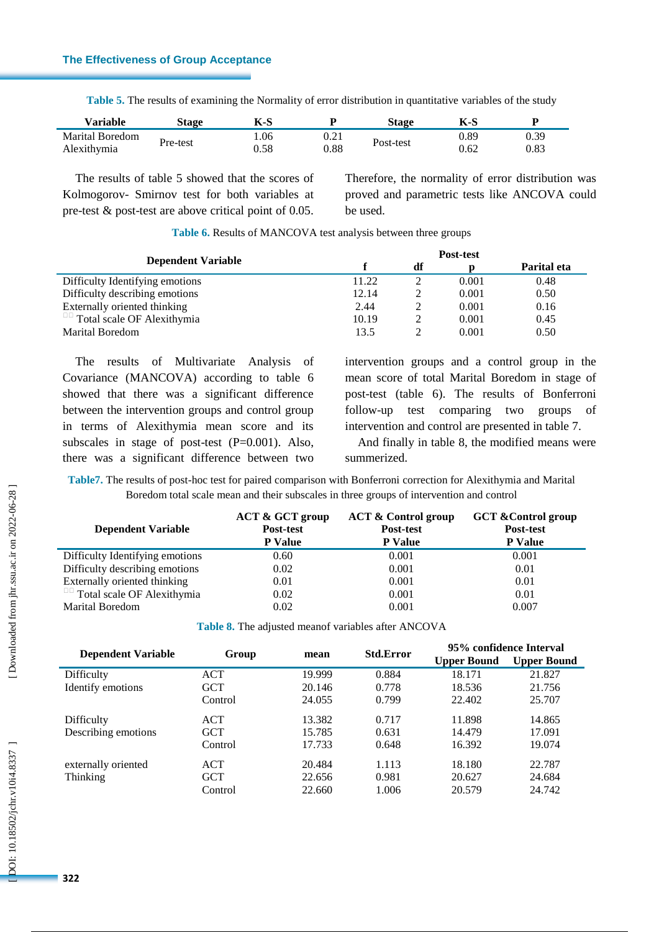# **The Effectiveness of Group Acceptance**

| Variable               | Stage    | K-S  | n    | Stage     | K-S  |      |
|------------------------|----------|------|------|-----------|------|------|
| <b>Marital Boredom</b> |          | 1.06 | 0.21 |           | 0.89 | 0.39 |
| Alexithymia            | Pre-test | 0.58 | 0.88 | Post-test | 0.62 | 0.83 |

**Table 5.** The results of examining the Normality of error distribution in quantitative variables of the study

The results of table 5 showed that the scores of Kolmogorov - Smirnov test for both variables at pre -test & post -test are above critical point of 0.05. Therefore, the normality of error distribution was proved and parametric tests like ANCOVA could be used .

|                                   | Post-test |    |       |             |  |
|-----------------------------------|-----------|----|-------|-------------|--|
| <b>Dependent Variable</b>         |           | df |       | Parital eta |  |
| Difficulty Identifying emotions   | 11.22     |    | 0.001 | 0.48        |  |
| Difficulty describing emotions    | 12.14     |    | 0.001 | 0.50        |  |
| Externally oriented thinking      | 2.44      |    | 0.001 | 0.16        |  |
| $\Box$ Total scale OF Alexithymia | 10.19     |    | 0.001 | 0.45        |  |
| <b>Marital Boredom</b>            | 13.5      |    | 0.001 | 0.50        |  |

**Table 6 .** Results of MAN COVA test analysis between three groups

The results of Multivariate Analysis of Covariance (MANCOVA ) according to table 6 showed that there was a significant difference between the intervention groups and control group in terms of Alexithymia mean score and its subscales in stage of post-test  $(P=0.001)$ . Also, there was a significant difference between two

intervention groups and a control group in the mean score of total Marital Boredom in stage of post -test (table 6). The results of Bonferroni follow -up test comparing two groups of intervention and control are presented in table 7.

And finally in table 8, the modified means were summerized.

Table7. The results of post-hoc test for paired comparison with Bonferroni correction for Alexithymia and Marital Boredom total scale mean and their subscales in three groups of intervention and control

| <b>Dependent Variable</b>         | <b>ACT &amp; GCT group</b><br>Post-test<br><b>P</b> Value | <b>ACT &amp; Control group</b><br>Post-test<br><b>P</b> Value | <b>GCT &amp; Control group</b><br>Post-test<br><b>P</b> Value |
|-----------------------------------|-----------------------------------------------------------|---------------------------------------------------------------|---------------------------------------------------------------|
| Difficulty Identifying emotions   | 0.60                                                      | 0.001                                                         | 0.001                                                         |
| Difficulty describing emotions    | 0.02                                                      | 0.001                                                         | 0.01                                                          |
| Externally oriented thinking      | 0.01                                                      | 0.001                                                         | 0.01                                                          |
| $\Box$ Total scale OF Alexithymia | 0.02                                                      | 0.001                                                         | 0.01                                                          |
| <b>Marital Boredom</b>            | 0.02                                                      | 0.001                                                         | 0.007                                                         |

|  |  | Table 8. The adjusted meanof variables after ANCOVA |  |  |
|--|--|-----------------------------------------------------|--|--|
|  |  |                                                     |  |  |

|                           |            |        | <b>Std.Error</b> | 95% confidence Interval |                    |  |
|---------------------------|------------|--------|------------------|-------------------------|--------------------|--|
| <b>Dependent Variable</b> | Group      | mean   |                  | <b>Upper Bound</b>      | <b>Upper Bound</b> |  |
| Difficulty                | ACT        | 19.999 | 0.884            | 18.171                  | 21.827             |  |
| Identify emotions         | <b>GCT</b> | 20.146 | 0.778            | 18.536                  | 21.756             |  |
|                           | Control    | 24.055 | 0.799            | 22.402                  | 25.707             |  |
| Difficulty                | <b>ACT</b> | 13.382 | 0.717            | 11.898                  | 14.865             |  |
| Describing emotions       | <b>GCT</b> | 15.785 | 0.631            | 14.479                  | 17.091             |  |
|                           | Control    | 17.733 | 0.648            | 16.392                  | 19.074             |  |
| externally oriented       | <b>ACT</b> | 20.484 | 1.113            | 18.180                  | 22.787             |  |
| Thinking                  | <b>GCT</b> | 22.656 | 0.981            | 20.627                  | 24.684             |  |
|                           | Control    | 22.660 | 1.006            | 20.579                  | 24.742             |  |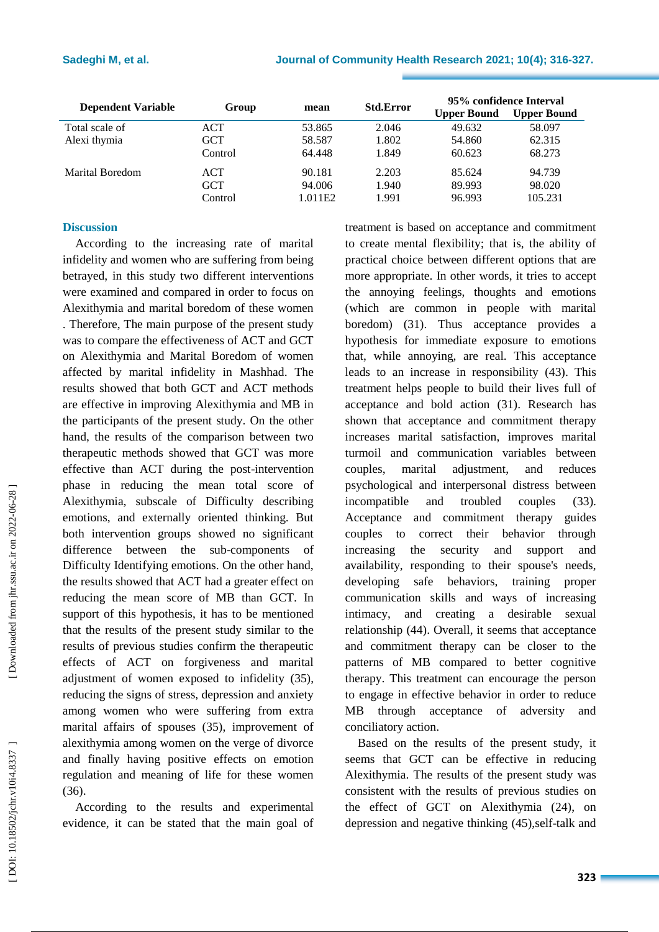| <b>Dependent Variable</b> | Group      | mean    | <b>Std.Error</b> | 95% confidence Interval<br><b>Upper Bound</b> | <b>Upper Bound</b> |
|---------------------------|------------|---------|------------------|-----------------------------------------------|--------------------|
| Total scale of            | <b>ACT</b> | 53.865  | 2.046            | 49.632                                        | 58.097             |
| Alexi thymia              | <b>GCT</b> | 58.587  | 1.802            | 54.860                                        | 62.315             |
|                           | Control    | 64.448  | 1.849            | 60.623                                        | 68.273             |
| Marital Boredom           | <b>ACT</b> | 90.181  | 2.203            | 85.624                                        | 94.739             |
|                           | <b>GCT</b> | 94.006  | 1.940            | 89.993                                        | 98.020             |
|                           | Control    | 1.011E2 | 1.991            | 96.993                                        | 105.231            |

# **Discussion**

According to the increasing rate of marital infidelity and women who are suffering from being betrayed, in this study two different interventions were examined and compared in order to focus on Alexithymia and marital boredom of these women . Therefore, The main purpose of the present study was to compare the effectiveness of ACT and GCT on Alexithymia and Marital Boredom of women affected by marital infidelity in Mashhad. The results showed that both GCT and ACT methods are effective in improving Alexithymia and MB in the participants of the present study. On the other hand, the results of the comparison between two therapeutic methods showed that GCT was more effective than ACT during the post -intervention phase in reducing the mean total score of Alexithymia, subscale of Difficulty describing emotions, and externally oriented thinking. But both intervention groups showed no significant difference between the sub -components of Difficulty Identifying emotions. On the other hand, the results showed that ACT had a greater effect on reducing the mean score of MB than GCT. In support of this hypothesis, it has to be mentioned that the results of the present study similar to the results of previous studies confirm the therapeutic effects of ACT on forgiveness and marital adjustment of women exposed to infidelity (35), reducing the signs of stress, depression and anxiety among women who were suffering from extra marital affairs of spouses (35), improvement of alexithymia among women on the verge of divorce and finally having positive effects on emotion regulation and meaning of life for these women (36) .

According to the results and experimental evidence, it can be stated that the main goal of treatment is based on acceptance and commitment to create mental flexibility; that is, the ability of practical choice between different options that are more appropriate. In other words, it tries to accept the annoying feelings, thoughts and emotions (which are common in people with marital boredom) (31). Thus acceptance provides a hypothesis for immediate exposure to emotions that, while annoying, are real. This acceptance leads to an increase in responsibility (43). This treatment helps people to build their lives full of acceptance and bold action (31). Research has shown that acceptance and commitment therapy increases marital satisfaction, improves marital turmoil and communication variables between couples, marital adjustment, and reduces psychological and interpersonal distress between incompatible and troubled couples (33). Acceptance and commitment therapy guides couples to correct their behavior through increasing the security and support and availability, responding to their spouse's needs, developing safe behaviors, training proper communication skills and ways of increasing intimacy, and creating a desirable sexual relationship (44). Overall, it seems that acceptance and commitment therapy can be closer to the patterns of MB compared to better cognitive therapy. This treatment can encourage the person to engage in effective behavior in order to reduce MB through acceptance of adversity and conciliatory action .

Based on the results of the present study, it seems that GCT can be effective in reducing Alexithymia. The results of the present study was consistent with the results of previous studies on the effect of GCT on Alexithymia (24) , on depression and negative thinking (45),self-talk and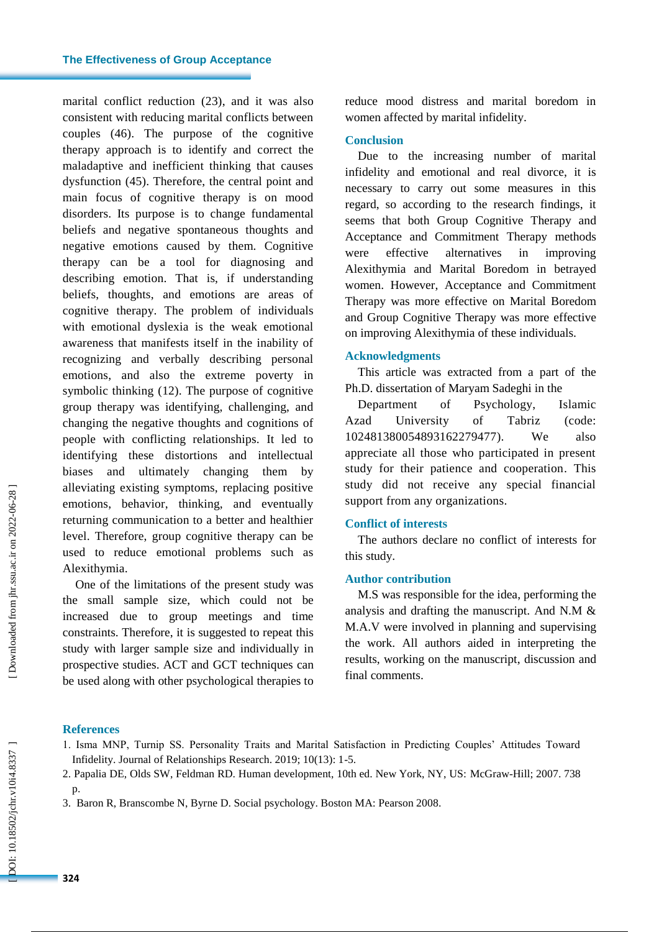marital conflict reduction (23), and it was also consistent with reducing marital conflicts between couples (46) . The purpose of the cognitive therapy approach is to identify and correct the maladaptive and inefficient thinking that causes dysfunction (45). Therefore, the central point and main focus of cognitive therapy is on mood disorders. Its purpose is to change fundamental beliefs and negative spontaneous thoughts and negative emotions caused by them. Cognitive therapy can be a tool for diagnosing and describing emotion. That is, if understanding beliefs, thoughts, and emotions are areas of cognitive therapy. The problem of individuals with emotional dyslexia is the weak emotional awareness that manifests itself in the inability of recognizing and verbally describing personal emotions, and also the extreme poverty in symbolic thinking (12). The purpose of cognitive group therapy was identifying, challenging, and changing the negative thoughts and cognitions of people with conflicting relationships. It led to identifying these distortions and intellectual biases and ultimately changing them by alleviating existing symptoms, replacing positive emotions, behavior, thinking, and eventually returning communication to a better and healthier level. Therefore, group cognitive therapy can be used to reduce emotional problems such as Alexithymia.

One of the limitations of the present study was the small sample size, which could not be increased due to group meetings and time constraints. Therefore, it is suggested to repeat this study with larger sample size and individually in prospective studies. ACT and GCT techniques can be used along with other psychological therapies to

reduce mood distress and marital boredom in women affected by marital infidelity.

### **Conclusion**

Due to the increasing number of marital infidelity and emotional and real divorce, it is necessary to carry out some measures in this regard, so according to the research findings, it seems that both Group Cognitive Therapy and Acceptance and Commitment Therapy methods were effective alternatives in improving Alexithymia and Marital Boredom in betrayed women . However, Acceptance and Commitment Therapy was more effective on Marital Boredom and Group Cognitive Therapy was more effective on improving Alexithymia of these individuals.

## **Acknowledgments**

This article was extracted from a part of the Ph.D. dissertation of Maryam Sadeghi in the

Department of Psychology, Islamic Azad University of Tabriz (code: 102481380054893162279477 ) We also appreciate all those who participated in present study for their patience and cooperation . This study did not receive any special financial support from any organizations.

# **Conflict of interests**

The authors declare no conflict of interests for this study.

# **Author contribution**

M.S was responsible for the idea , performing the analysis and drafting the manuscript. And N.M & M.A.V were involved in planning and supervising the work . All authors aided in interpreting the results, working on the manuscript , discussion and final comments.

# **References**

- 1. Isma MNP, Turnip SS. Personality Traits and Marital Satisfaction in Predicting Couples' Attitudes Toward Infidelity. Journal of Relationships Research. 2019; 10(13): 1 -5.
- 2. Papalia DE, Olds SW, Feldman RD. Human development, 10th ed. New York, NY, US: McGraw -Hill; 2007. 738  $\mathbf{p}$ .
- 3. Baron R, Branscombe N, Byrne D. Social psychology. Boston MA: Pearson 2008.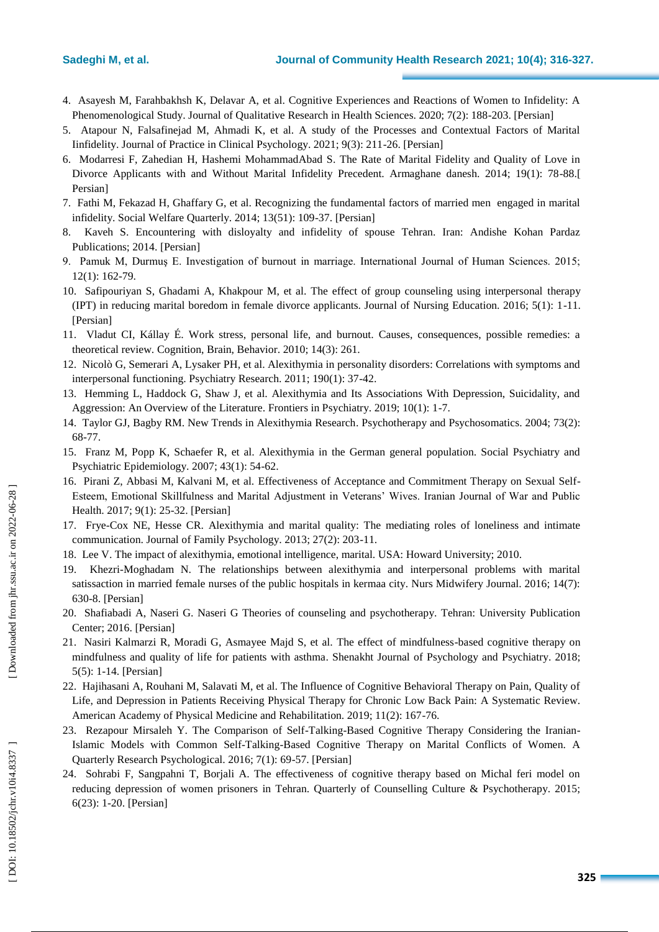- 4. Asayesh M, Farahbakhsh K, Delavar A, et al. Cognitive Experiences and Reactions of Women to Infidelity: A Phenomenological Study. Journal of Qualitative Research in Health Sciences. 2020; 7(2): 188-203. [Persian]
- 5. Atapour N, Falsafinejad M, Ahmadi K, et al. A study of the Processes and Contextual Factors of Marital Iinfidelity. Journal of Practice in Clinical Psychology. 2021; 9(3): 211 -26. [Persian]
- 6. Modarresi F, Zahedian H, Hashemi MohammadAbad S. The Rate of Marital Fidelity and Quality of Love in Divorce Applicants with and Without Marital Infidelity Precedent. Armaghane danesh. 2014; 19(1): 78 -88. [ Persian]
- 7. Fathi M, Fekazad H, Ghaffary G, et al. Recognizing the fundamental factors of married men engaged in marital infidelity. Social Welfare Quarterly. 2014; 13(51): 109 -37. [Persian]
- 8. Kaveh S. Encountering with disloyalty and infidelity of spouse Tehran. Iran: Andishe Kohan Pardaz Publications; 2014. [Persian]
- 9. Pamuk M, Durmuş E. Investigation of burnout in marriage. International Journal of Human Sciences. 2015; 12(1): 162 -79.
- 10. Safipouriyan S, Ghadami A, Khakpour M, et al. The effect of group counseling using interpersonal therapy (IPT) in reducing marital boredom in female divorce applicants. Journal of Nursing Education. 2016; 5(1): 1 -11. [Persian]
- 11. Vladut CI, Kállay É. Work stress, personal life, and burnout. Causes, consequences, possible remedies: a theoretical review. Cognition, Brain, Behavior. 2010; 14(3): 261.
- 12. Nicolò G, Semerari A, Lysaker PH, et al. Alexithymia in personality disorders: Correlations with symptoms and interpersonal functioning. Psychiatry Research. 2011; 190(1): 37 -42.
- 13. Hemming L, Haddock G, Shaw J, et al. Alexithymia and Its Associations With Depression, Suicidality, and Aggression: An Overview of the Literature. Frontiers in Psychiatry. 2019; 10(1): 1 -7.
- 14. Taylor GJ, Bagby RM. New Trends in Alexithymia Research. Psychotherapy and Psychosomatics. 2004; 73(2): 68 -77.
- 15. Franz M, Popp K, Schaefer R, et al. Alexithymia in the German general population. Social Psychiatry and Psychiatric Epidemiology. 2007; 43(1): 54 -62.
- 16. Pirani Z, Abbasi M, Kalvani M, et al. Effectiveness of Acceptance and Commitment Therapy on Sexual Self Esteem, Emotional Skillfulness and Marital Adjustment in Veterans' Wives. Iranian Journal of War and Public Health. 2017; 9(1): 25 -32. [Persian]
- 17. Frye -Cox NE, Hesse CR. Alexithymia and marital quality: The mediating roles of loneliness and intimate communication. Journal of Family Psychology. 2013; 27(2): 203 -11.
- 18. Lee V. The impact of alexithymia, emotional intelligence, marital. USA: Howard University; 2010.
- 19. Khezri -Moghadam N. The relationships between alexithymia and interpersonal problems with marital satissaction in married female nurses of the public hospitals in kermaa city. Nurs Midwifery Journal. 2016; 14(7): 630 -8. [Persian]
- 20. Shafiabadi A, Naseri G. Naseri G Theories of counseling and psychotherapy. Tehran: University Publication Center; 2016. [Persian]
- 21. Nasiri Kalmarzi R, Moradi G, Asmayee Majd S, et al. The effect of mindfulness -based cognitive therapy on mindfulness and quality of life for patients with asthma. Shenakht Journal of Psychology and Psychiatry. 2018; 5(5): 1 -14. [Persian]
- 22. Hajihasani A, Rouhani M, Salavati M, et al. The Influence of Cognitive Behavioral Therapy on Pain, Quality of Life, and Depression in Patients Receiving Physical Therapy for Chronic Low Back Pain: A Systematic Review. American Academy of Physical Medicine and Rehabilitation. 2019; 11(2): 167 -76.
- 23. Rezapour Mirsaleh Y. The Comparison of Self-Talking-Based Cognitive Therapy Considering the Iranian-Islamic Models with Common Self-Talking -Based Cognitive Therapy on Marital Conflicts of Women. A Quarterly Research Psychological. 2016; 7(1): 69 -57. [Persian]
- 24. Sohrabi F, Sangpahni T, Borjali A. The effectiveness of cognitive therapy based on Michal feri model on reducing depression of women prisoners in Tehran. Quarterly of Counselling Culture & Psychotherapy. 2015; 6(23): 1 -20. [Persian]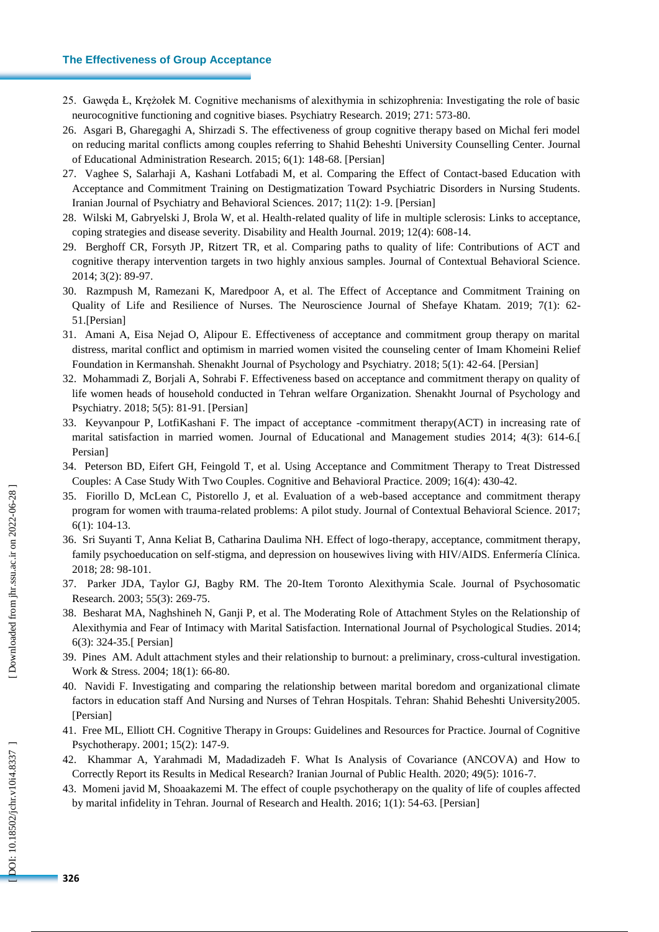#### **The Effectiveness of Group Acceptance**

- 25. Gawęda Ł, Krężołek M. Cognitive mechanisms of alexithymia in schizophrenia: Investigating the role of basic neurocognitive functioning and cognitive biases. Psychiatry Research. 2019; 271: 573 -80.
- 26. Asgari B, Gharegaghi A, Shirzadi S. The effectiveness of group cognitive therapy based on Michal feri model on reducing marital conflicts among couples referring to Shahid Beheshti University Counselling Center. Journal of Educational Administration Research. 2015; 6(1): 148 -68. [Persian]
- 27. Vaghee S, Salarhaji A, Kashani Lotfabadi M, et al. Comparing the Effect of Contact -based Education with Acceptance and Commitment Training on Destigmatization Toward Psychiatric Disorders in Nursing Students. Iranian Journal of Psychiatry and Behavioral Sciences. 2017; 11(2): 1 -9. [Persian]
- 28. Wilski M, Gabryelski J, Brola W, et al. Health -related quality of life in multiple sclerosis: Links to acceptance, coping strategies and disease severity. Disability and Health Journal. 2019; 12(4): 608 -14.
- 29. Berghoff CR, Forsyth JP, Ritzert TR, et al. Comparing paths to quality of life: Contributions of ACT and cognitive therapy intervention targets in two highly anxious samples. Journal of Contextual Behavioral Science. 2014; 3(2): 89 -97.
- 30. Razmpush M, Ramezani K, Maredpoor A, et al. The Effect of Acceptance and Commitment Training on Quality of Life and Resilience of Nurses. The Neuroscience Journal of Shefaye Khatam. 2019; 7(1): 62 - 51.[Persian]
- 31. Amani A, Eisa Nejad O, Alipour E. Effectiveness of acceptance and commitment group therapy on marital distress, marital conflict and optimism in married women visited the counseling center of Imam Khomeini Relief Foundation in Kermanshah. Shenakht Journal of Psychology and Psychiatry. 2018; 5(1): 42 -64. [Persian]
- 32. Mohammadi Z, Borjali A, Sohrabi F. Effectiveness based on acceptance and commitment therapy on quality of life women heads of household conducted in Tehran welfare Organization. Shenakht Journal of Psychology and Psychiatry. 2018; 5(5): 81 -91. [Persian]
- 33. Keyvanpour P, LotfiKashani F. The impact of acceptance -commitment therapy(ACT) in increasing rate of marital satisfaction in married women. Journal of Educational and Management studies 2014; 4(3): 614 -6. [ Persian]
- 34. Peterson BD, Eifert GH, Feingold T, et al. Using Acceptance and Commitment Therapy to Treat Distressed Couples: A Case Study With Two Couples. Cognitive and Behavioral Practice. 2009; 16(4): 430 -42.
- 35. Fiorillo D, McLean C, Pistorello J, et al. Evaluation of a web -based acceptance and commitment therapy program for women with trauma-related problems: A pilot study. Journal of Contextual Behavioral Science. 2017; 6(1): 104 -13.
- 36. Sri Suyanti T, Anna Keliat B, Catharina Daulima NH. Effect of logo -therapy, acceptance, commitment therapy, family psychoeducation on self -stigma, and depression on housewives living with HIV/AIDS. Enfermería Clínica. 2018; 28: 98 -101.
- 37. Parker JDA, Taylor GJ, Bagby RM. The 20 -Item Toronto Alexithymia Scale. Journal of Psychosomatic Research. 2003; 55(3): 269 -75.
- 38. Besharat MA, Naghshineh N, Ganji P, et al. The Moderating Role of Attachment Styles on the Relationship of Alexithymia and Fear of Intimacy with Marital Satisfaction. International Journal of Psychological Studies. 2014; 6(3): 324 -35.[ Persian]
- 39. Pines AM. Adult attachment styles and their relationship to burnout: a preliminary, cross -cultural investigation. Work & Stress. 2004; 18(1): 66 -80.
- 40. Navidi F. Investigating and comparing the relationship between marital boredom and organizational climate factors in education staff And Nursing and Nurses of Tehran Hospitals. Tehran: Shahid Beheshti University2005. [Persian]
- 41. Free ML, Elliott CH. Cognitive Therapy in Groups: Guidelines and Resources for Practice. Journal of Cognitive Psychotherapy. 2001; 15(2): 147 -9.
- 42. Khammar A, Yarahmadi M, Madadizadeh F. What Is Analysis of Covariance (ANCOVA) and How to Correctly Report its Results in Medical Research? Iranian Journal of Public Health. 2020; 49(5): 1016 -7.
- 43. Momeni javid M, Shoaakazemi M. The effect of couple psychotherapy on the quality of life of couples affected by marital infidelity in Tehran. Journal of Research and Health. 2016; 1(1): 54 -63. [Persian]